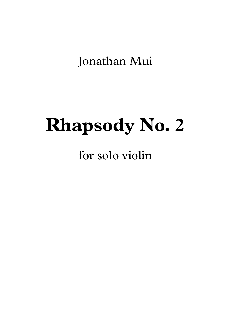Jonathan Mui

## **Rhapsody No. 2**

for solo violin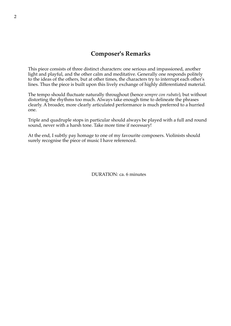## **Composer's Remarks**

This piece consists of three distinct characters: one serious and impassioned, another I his piece consists of three distinct characters: one serious and impassioned, another<br>light and playful, and the other calm and meditative. Generally one responds politely If the ideas of the others, but at other times, the characters try to interrupt each other's<br>to the ideas of the others, but at other times, the characters try to interrupt each other's Thus the piece is built upon this lively exchange of highly differentiated material.

The tempo should fluctuate naturally throughout (hence *sempre con rubato*), but without distortingThe tempo should fluctuate naturally infoughout (hence *sempre con rubuto*), but without distorting the rhythms too much. Always take enough time to delineate the phrases distorting the mythins too much. Always take enough time to delineate the phrases<br>clearly. A broader, more clearly articulated performance is much preferred to a hurried

Triple and quadruple stops in particular should always be played with a full and round sound, never with a harsh tone. Take more time if necessary!

At the end, I subtly pay homage to one of my favourite composers. Violinists should surely recognise the piece of music I have referenced.

DURATION: ca. <sup>6</sup> minutes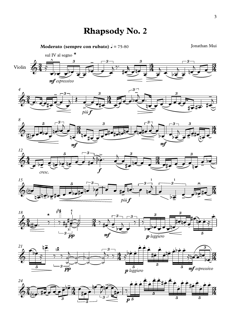## **Rhapsody No. 2**

Moderato (sempre con rubato)  $J = 75-80$ 



Jonathan Mui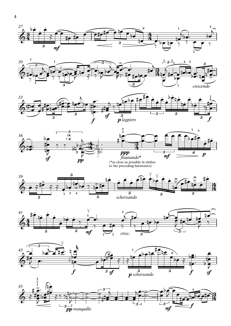













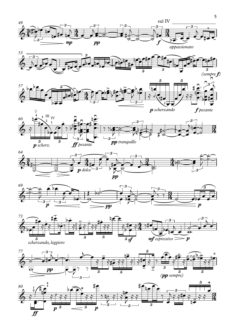







 $\boldsymbol{f}$  pesante











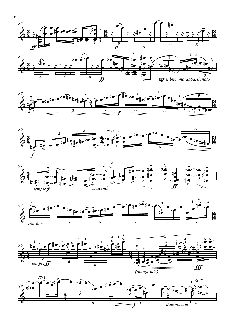